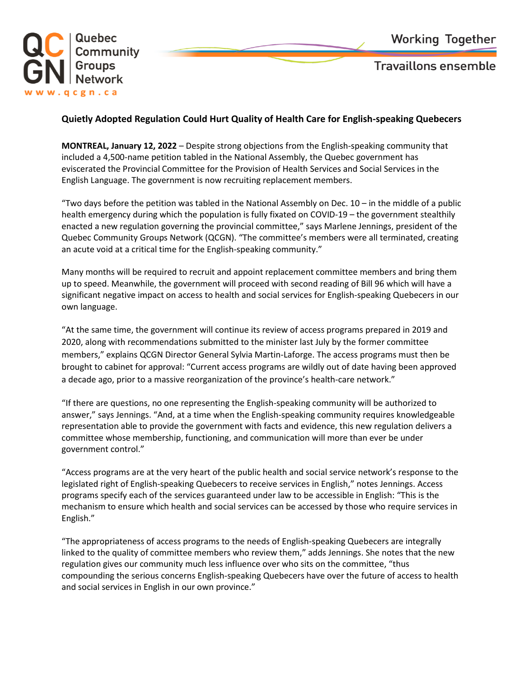

**Travaillons ensemble** 

## **Quietly Adopted Regulation Could Hurt Quality of Health Care for English-speaking Quebecers**

**MONTREAL, January 12, 2022** – Despite strong objections from the English-speaking community that included a 4,500-name petition tabled in the National Assembly, the Quebec government has eviscerated the Provincial Committee for the Provision of Health Services and Social Services in the English Language. The government is now recruiting replacement members.

"Two days before the petition was tabled in the National Assembly on Dec. 10 – in the middle of a public health emergency during which the population is fully fixated on COVID-19 – the government stealthily enacted a new regulation governing the provincial committee," says Marlene Jennings, president of the Quebec Community Groups Network (QCGN). "The committee's members were all terminated, creating an acute void at a critical time for the English-speaking community."

Many months will be required to recruit and appoint replacement committee members and bring them up to speed. Meanwhile, the government will proceed with second reading of Bill 96 which will have a significant negative impact on access to health and social services for English-speaking Quebecers in our own language.

"At the same time, the government will continue its review of access programs prepared in 2019 and 2020, along with recommendations submitted to the minister last July by the former committee members," explains QCGN Director General Sylvia Martin-Laforge. The access programs must then be brought to cabinet for approval: "Current access programs are wildly out of date having been approved a decade ago, prior to a massive reorganization of the province's health-care network."

"If there are questions, no one representing the English-speaking community will be authorized to answer," says Jennings. "And, at a time when the English-speaking community requires knowledgeable representation able to provide the government with facts and evidence, this new regulation delivers a committee whose membership, functioning, and communication will more than ever be under government control."

"Access programs are at the very heart of the public health and social service network's response to the legislated right of English-speaking Quebecers to receive services in English," notes Jennings. Access programs specify each of the services guaranteed under law to be accessible in English: "This is the mechanism to ensure which health and social services can be accessed by those who require services in English."

"The appropriateness of access programs to the needs of English-speaking Quebecers are integrally linked to the quality of committee members who review them," adds Jennings. She notes that the new regulation gives our community much less influence over who sits on the committee, "thus compounding the serious concerns English-speaking Quebecers have over the future of access to health and social services in English in our own province."